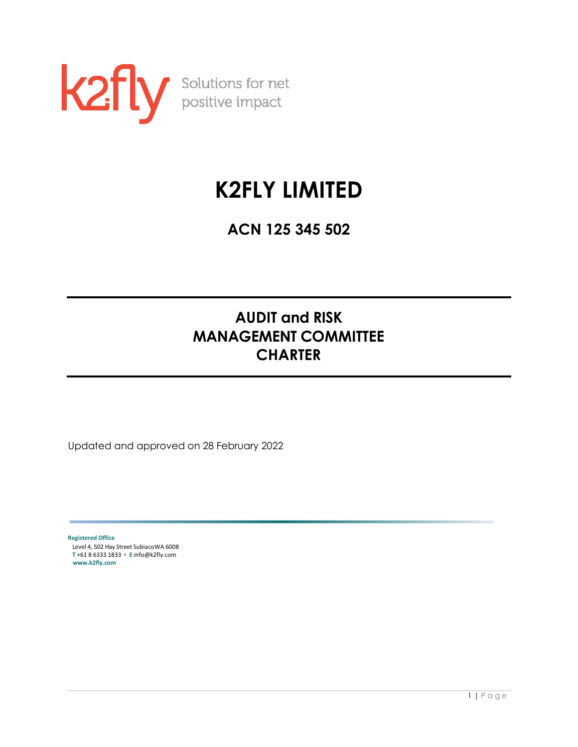

# **K2FLY LIMITED**

**ACN 125 345 502**

# **AUDIT and RISK MANAGEMENT COMMITTEE CHARTER**

Updated and approved on 28 February 2022

**Registered Office** Level 4, 502 Hay Street SubiacoWA 6008 **T** +61 8 6333 1833 ▪ **E** [info@k2fly.com](mailto:info@k2fly.com) **[www.k2fly.com](http://www.k2fly.com/)**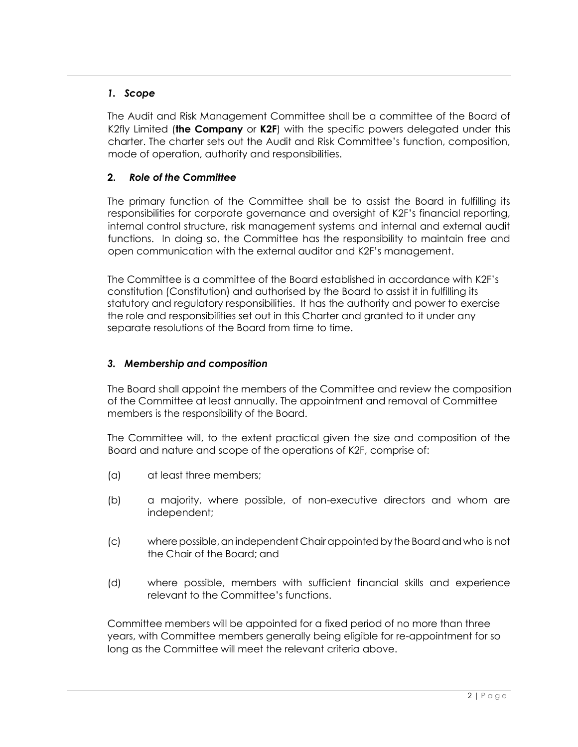# *1. Scope*

The Audit and Risk Management Committee shall be a committee of the Board of K2fly Limited (**the Company** or **K2F**) with the specific powers delegated under this charter. The charter sets out the Audit and Risk Committee's function, composition, mode of operation, authority and responsibilities.

# **2.** *Role of the Committee*

The primary function of the Committee shall be to assist the Board in fulfilling its responsibilities for corporate governance and oversight of K2F's financial reporting, internal control structure, risk management systems and internal and external audit functions. In doing so, the Committee has the responsibility to maintain free and open communication with the external auditor and K2F's management.

The Committee is a committee of the Board established in accordance with K2F's constitution (Constitution) and authorised by the Board to assist it in fulfilling its statutory and regulatory responsibilities. It has the authority and power to exercise the role and responsibilities set out in this Charter and granted to it under any separate resolutions of the Board from time to time.

#### *3. Membership and composition*

The Board shall appoint the members of the Committee and review the composition of the Committee at least annually. The appointment and removal of Committee members is the responsibility of the Board.

The Committee will, to the extent practical given the size and composition of the Board and nature and scope of the operations of K2F, comprise of:

- (a) at least three members;
- (b) a majority, where possible, of non-executive directors and whom are independent;
- (c) where possible, an independent Chair appointed by the Board and who is not the Chair of the Board; and
- (d) where possible, members with sufficient financial skills and experience relevant to the Committee's functions.

Committee members will be appointed for a fixed period of no more than three years, with Committee members generally being eligible for re-appointment for so long as the Committee will meet the relevant criteria above.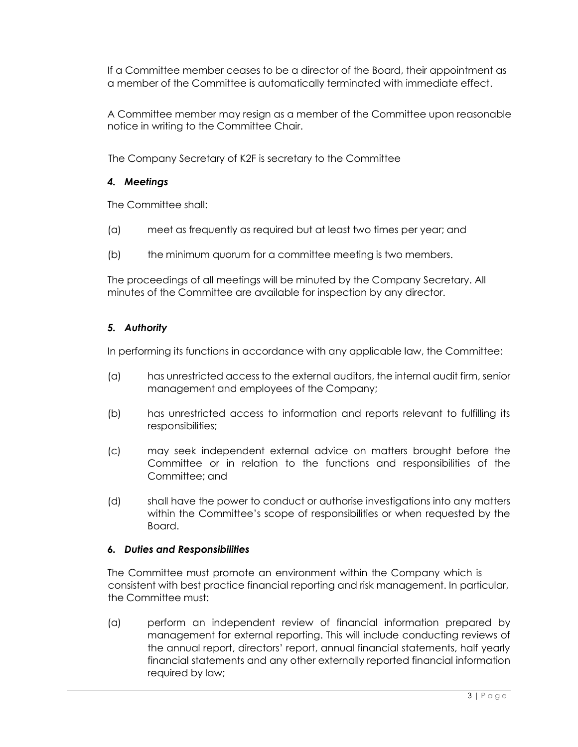If a Committee member ceases to be a director of the Board, their appointment as a member of the Committee is automatically terminated with immediate effect.

A Committee member may resign as a member of the Committee upon reasonable notice in writing to the Committee Chair.

The Company Secretary of K2F is secretary to the Committee

# *4. Meetings*

The Committee shall:

- (a) meet as frequently as required but at least two times per year; and
- (b) the minimum quorum for a committee meeting is two members.

The proceedings of all meetings will be minuted by the Company Secretary. All minutes of the Committee are available for inspection by any director.

# *5. Authority*

In performing its functions in accordance with any applicable law, the Committee:

- (a) has unrestricted access to the external auditors, the internal audit firm, senior management and employees of the Company;
- (b) has unrestricted access to information and reports relevant to fulfilling its responsibilities;
- (c) may seek independent external advice on matters brought before the Committee or in relation to the functions and responsibilities of the Committee; and
- (d) shall have the power to conduct or authorise investigations into any matters within the Committee's scope of responsibilities or when requested by the Board.

#### *6. Duties and Responsibilities*

The Committee must promote an environment within the Company which is consistent with best practice financial reporting and risk management. In particular, the Committee must:

(a) perform an independent review of financial information prepared by management for external reporting. This will include conducting reviews of the annual report, directors' report, annual financial statements, half yearly financial statements and any other externally reported financial information required by law;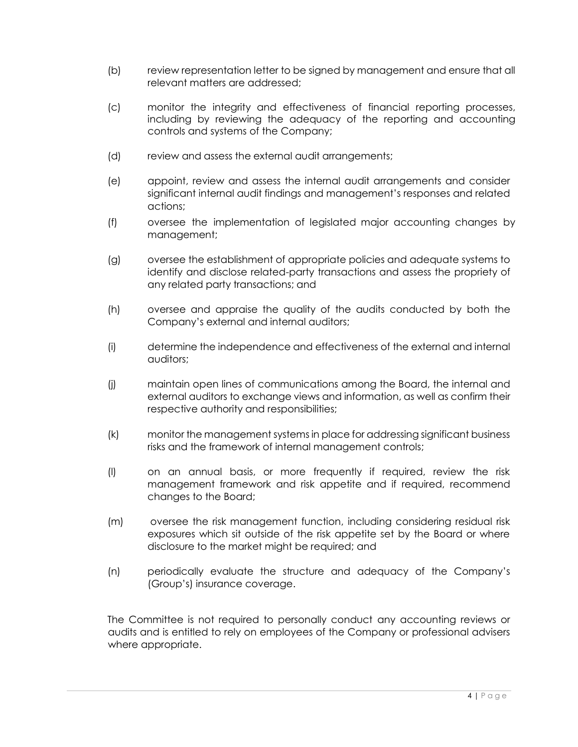- (b) review representation letter to be signed by management and ensure that all relevant matters are addressed;
- (c) monitor the integrity and effectiveness of financial reporting processes, including by reviewing the adequacy of the reporting and accounting controls and systems of the Company;
- (d) review and assess the external audit arrangements;
- (e) appoint, review and assess the internal audit arrangements and consider significant internal audit findings and management's responses and related actions;
- (f) oversee the implementation of legislated major accounting changes by management;
- (g) oversee the establishment of appropriate policies and adequate systems to identify and disclose related-party transactions and assess the propriety of any related party transactions; and
- (h) oversee and appraise the quality of the audits conducted by both the Company's external and internal auditors;
- (i) determine the independence and effectiveness of the external and internal auditors;
- (j) maintain open lines of communications among the Board, the internal and external auditors to exchange views and information, as well as confirm their respective authority and responsibilities;
- (k) monitor the management systems in place for addressing significant business risks and the framework of internal management controls;
- (l) on an annual basis, or more frequently if required, review the risk management framework and risk appetite and if required, recommend changes to the Board;
- (m) oversee the risk management function, including considering residual risk exposures which sit outside of the risk appetite set by the Board or where disclosure to the market might be required; and
- (n) periodically evaluate the structure and adequacy of the Company's (Group's) insurance coverage.

The Committee is not required to personally conduct any accounting reviews or audits and is entitled to rely on employees of the Company or professional advisers where appropriate.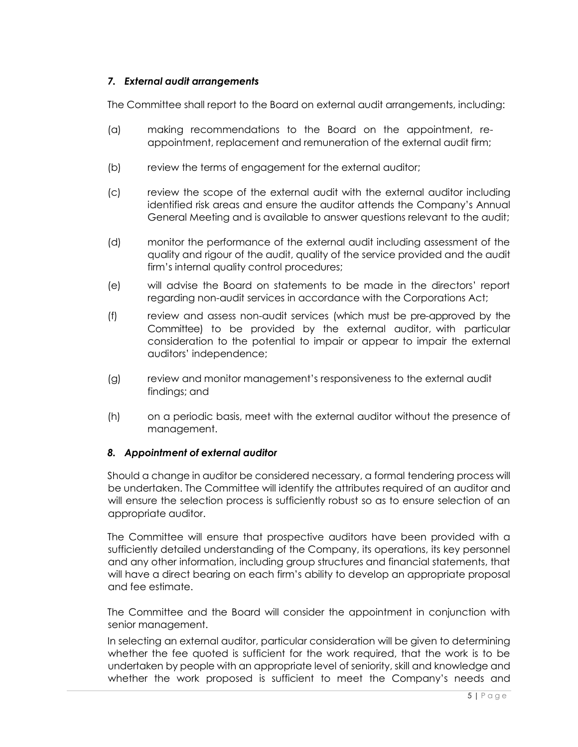# *7. External audit arrangements*

The Committee shall report to the Board on external audit arrangements, including:

- (a) making recommendations to the Board on the appointment, reappointment, replacement and remuneration of the external audit firm;
- (b) review the terms of engagement for the external auditor;
- (c) review the scope of the external audit with the external auditor including identified risk areas and ensure the auditor attends the Company's Annual General Meeting and is available to answer questions relevant to the audit;
- (d) monitor the performance of the external audit including assessment of the quality and rigour of the audit, quality of the service provided and the audit firm's internal quality control procedures;
- (e) will advise the Board on statements to be made in the directors' report regarding non-audit services in accordance with the Corporations Act;
- (f) review and assess non-audit services (which must be pre-approved by the Committee) to be provided by the external auditor, with particular consideration to the potential to impair or appear to impair the external auditors' independence;
- (g) review and monitor management's responsiveness to the external audit findings; and
- (h) on a periodic basis, meet with the external auditor without the presence of management.

#### *8. Appointment of external auditor*

Should a change in auditor be considered necessary, a formal tendering process will be undertaken. The Committee will identify the attributes required of an auditor and will ensure the selection process is sufficiently robust so as to ensure selection of an appropriate auditor.

The Committee will ensure that prospective auditors have been provided with a sufficiently detailed understanding of the Company, its operations, its key personnel and any other information, including group structures and financial statements, that will have a direct bearing on each firm's ability to develop an appropriate proposal and fee estimate.

The Committee and the Board will consider the appointment in conjunction with senior management.

In selecting an external auditor, particular consideration will be given to determining whether the fee quoted is sufficient for the work required, that the work is to be undertaken by people with an appropriate level of seniority, skill and knowledge and whether the work proposed is sufficient to meet the Company's needs and